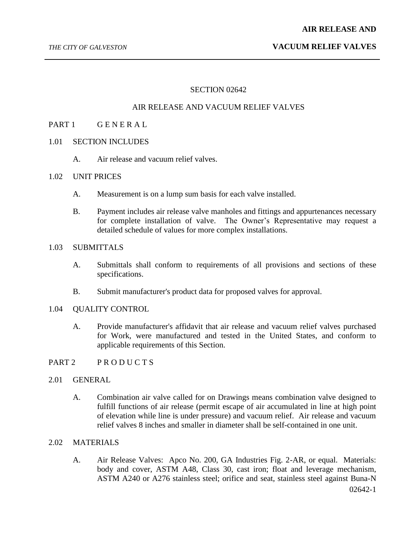#### **AIR RELEASE AND**

# *THE CITY OF GALVESTON* **VACUUM RELIEF VALVES**

#### SECTION 02642

## AIR RELEASE AND VACUUM RELIEF VALVES

## PART 1 GENERAL

- 1.01 SECTION INCLUDES
	- A. Air release and vacuum relief valves.

#### 1.02 UNIT PRICES

- A. Measurement is on a lump sum basis for each valve installed.
- B. Payment includes air release valve manholes and fittings and appurtenances necessary for complete installation of valve. The Owner's Representative may request a detailed schedule of values for more complex installations.

## 1.03 SUBMITTALS

- A. Submittals shall conform to requirements of all provisions and sections of these specifications.
- B. Submit manufacturer's product data for proposed valves for approval.

# 1.04 QUALITY CONTROL

A. Provide manufacturer's affidavit that air release and vacuum relief valves purchased for Work, were manufactured and tested in the United States, and conform to applicable requirements of this Section.

## PART 2 PRODUCTS

## 2.01 GENERAL

A. Combination air valve called for on Drawings means combination valve designed to fulfill functions of air release (permit escape of air accumulated in line at high point of elevation while line is under pressure) and vacuum relief. Air release and vacuum relief valves 8 inches and smaller in diameter shall be self-contained in one unit.

# 2.02 MATERIALS

A. Air Release Valves: Apco No. 200, GA Industries Fig. 2-AR, or equal. Materials: body and cover, ASTM A48, Class 30, cast iron; float and leverage mechanism, ASTM A240 or A276 stainless steel; orifice and seat, stainless steel against Buna-N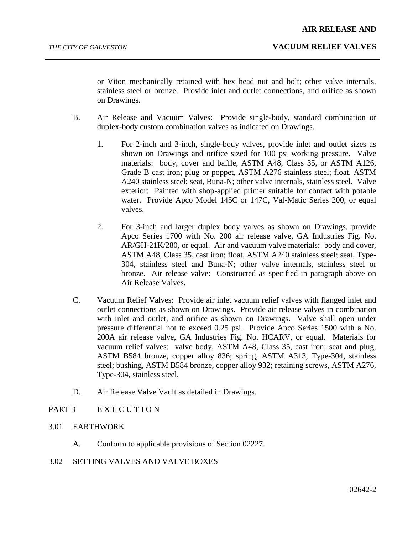or Viton mechanically retained with hex head nut and bolt; other valve internals, stainless steel or bronze. Provide inlet and outlet connections, and orifice as shown on Drawings.

- B. Air Release and Vacuum Valves: Provide single-body, standard combination or duplex-body custom combination valves as indicated on Drawings.
	- 1. For 2-inch and 3-inch, single-body valves, provide inlet and outlet sizes as shown on Drawings and orifice sized for 100 psi working pressure. Valve materials: body, cover and baffle, ASTM A48, Class 35, or ASTM A126, Grade B cast iron; plug or poppet, ASTM A276 stainless steel; float, ASTM A240 stainless steel; seat, Buna-N; other valve internals, stainless steel. Valve exterior: Painted with shop-applied primer suitable for contact with potable water. Provide Apco Model 145C or 147C, Val-Matic Series 200, or equal valves.
	- 2. For 3-inch and larger duplex body valves as shown on Drawings, provide Apco Series 1700 with No. 200 air release valve, GA Industries Fig. No. AR/GH-21K/280, or equal. Air and vacuum valve materials: body and cover, ASTM A48, Class 35, cast iron; float, ASTM A240 stainless steel; seat, Type-304, stainless steel and Buna-N; other valve internals, stainless steel or bronze. Air release valve: Constructed as specified in paragraph above on Air Release Valves.
- C. Vacuum Relief Valves: Provide air inlet vacuum relief valves with flanged inlet and outlet connections as shown on Drawings. Provide air release valves in combination with inlet and outlet, and orifice as shown on Drawings. Valve shall open under pressure differential not to exceed 0.25 psi. Provide Apco Series 1500 with a No. 200A air release valve, GA Industries Fig. No. HCARV, or equal. Materials for vacuum relief valves: valve body, ASTM A48, Class 35, cast iron; seat and plug, ASTM B584 bronze, copper alloy 836; spring, ASTM A313, Type-304, stainless steel; bushing, ASTM B584 bronze, copper alloy 932; retaining screws, ASTM A276, Type-304, stainless steel.
- D. Air Release Valve Vault as detailed in Drawings.

# PART 3 EXECUTION

- 3.01 EARTHWORK
	- A. Conform to applicable provisions of Section 02227.
- 3.02 SETTING VALVES AND VALVE BOXES